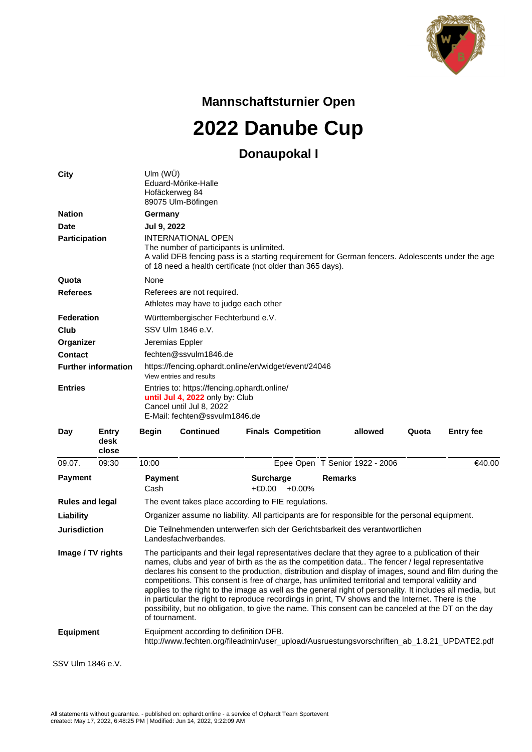

**Mannschaftsturnier Open**

**2022 Danube Cup**

## **Donaupokal I**

| <b>City</b>                |                        | Ulm $(WU)$<br>Hofäckerweg 84                                                                                                                                                                                                            | Eduard-Mörike-Halle<br>89075 Ulm-Böfingen                                                                                                                                                                                                                                                                                                                                                                                                                                                                                                                                                                                                                                                                                                    |                                   |  |                                |       |                  |
|----------------------------|------------------------|-----------------------------------------------------------------------------------------------------------------------------------------------------------------------------------------------------------------------------------------|----------------------------------------------------------------------------------------------------------------------------------------------------------------------------------------------------------------------------------------------------------------------------------------------------------------------------------------------------------------------------------------------------------------------------------------------------------------------------------------------------------------------------------------------------------------------------------------------------------------------------------------------------------------------------------------------------------------------------------------------|-----------------------------------|--|--------------------------------|-------|------------------|
| <b>Nation</b>              |                        | Germany                                                                                                                                                                                                                                 |                                                                                                                                                                                                                                                                                                                                                                                                                                                                                                                                                                                                                                                                                                                                              |                                   |  |                                |       |                  |
| Date                       |                        | Jul 9, 2022                                                                                                                                                                                                                             |                                                                                                                                                                                                                                                                                                                                                                                                                                                                                                                                                                                                                                                                                                                                              |                                   |  |                                |       |                  |
| <b>Participation</b>       |                        | <b>INTERNATIONAL OPEN</b><br>The number of participants is unlimited.<br>A valid DFB fencing pass is a starting requirement for German fencers. Adolescents under the age<br>of 18 need a health certificate (not older than 365 days). |                                                                                                                                                                                                                                                                                                                                                                                                                                                                                                                                                                                                                                                                                                                                              |                                   |  |                                |       |                  |
| Quota                      |                        | None                                                                                                                                                                                                                                    |                                                                                                                                                                                                                                                                                                                                                                                                                                                                                                                                                                                                                                                                                                                                              |                                   |  |                                |       |                  |
| <b>Referees</b>            |                        |                                                                                                                                                                                                                                         | Referees are not required.<br>Athletes may have to judge each other                                                                                                                                                                                                                                                                                                                                                                                                                                                                                                                                                                                                                                                                          |                                   |  |                                |       |                  |
| Federation                 |                        | Württembergischer Fechterbund e.V.                                                                                                                                                                                                      |                                                                                                                                                                                                                                                                                                                                                                                                                                                                                                                                                                                                                                                                                                                                              |                                   |  |                                |       |                  |
| Club                       |                        |                                                                                                                                                                                                                                         | SSV Ulm 1846 e.V.                                                                                                                                                                                                                                                                                                                                                                                                                                                                                                                                                                                                                                                                                                                            |                                   |  |                                |       |                  |
| Organizer                  |                        | Jeremias Eppler                                                                                                                                                                                                                         |                                                                                                                                                                                                                                                                                                                                                                                                                                                                                                                                                                                                                                                                                                                                              |                                   |  |                                |       |                  |
| <b>Contact</b>             |                        | fechten@ssvulm1846.de                                                                                                                                                                                                                   |                                                                                                                                                                                                                                                                                                                                                                                                                                                                                                                                                                                                                                                                                                                                              |                                   |  |                                |       |                  |
| <b>Further information</b> |                        | https://fencing.ophardt.online/en/widget/event/24046<br>View entries and results                                                                                                                                                        |                                                                                                                                                                                                                                                                                                                                                                                                                                                                                                                                                                                                                                                                                                                                              |                                   |  |                                |       |                  |
| <b>Entries</b>             |                        |                                                                                                                                                                                                                                         | Entries to: https://fencing.ophardt.online/<br>until Jul 4, 2022 only by: Club                                                                                                                                                                                                                                                                                                                                                                                                                                                                                                                                                                                                                                                               |                                   |  |                                |       |                  |
|                            |                        |                                                                                                                                                                                                                                         | Cancel until Jul 8, 2022<br>E-Mail: fechten@ssvulm1846.de                                                                                                                                                                                                                                                                                                                                                                                                                                                                                                                                                                                                                                                                                    |                                   |  |                                |       |                  |
| Day                        | Entry<br>desk<br>close | <b>Begin</b>                                                                                                                                                                                                                            | <b>Continued</b>                                                                                                                                                                                                                                                                                                                                                                                                                                                                                                                                                                                                                                                                                                                             | <b>Finals Competition</b>         |  | allowed                        | Quota | <b>Entry fee</b> |
| 09.07.                     | 09:30                  | 10:00                                                                                                                                                                                                                                   |                                                                                                                                                                                                                                                                                                                                                                                                                                                                                                                                                                                                                                                                                                                                              |                                   |  | Epee Open T Senior 1922 - 2006 |       | €40.00           |
| <b>Payment</b>             |                        | <b>Payment</b><br>Cash                                                                                                                                                                                                                  |                                                                                                                                                                                                                                                                                                                                                                                                                                                                                                                                                                                                                                                                                                                                              | <b>Surcharge</b><br>+€0.00 +0.00% |  | <b>Remarks</b>                 |       |                  |
| <b>Rules and legal</b>     |                        |                                                                                                                                                                                                                                         | The event takes place according to FIE regulations.                                                                                                                                                                                                                                                                                                                                                                                                                                                                                                                                                                                                                                                                                          |                                   |  |                                |       |                  |
| Liability                  |                        |                                                                                                                                                                                                                                         | Organizer assume no liability. All participants are for responsible for the personal equipment.                                                                                                                                                                                                                                                                                                                                                                                                                                                                                                                                                                                                                                              |                                   |  |                                |       |                  |
| Jurisdiction               |                        |                                                                                                                                                                                                                                         | Die Teilnehmenden unterwerfen sich der Gerichtsbarkeit des verantwortlichen<br>Landesfachverbandes.                                                                                                                                                                                                                                                                                                                                                                                                                                                                                                                                                                                                                                          |                                   |  |                                |       |                  |
| Image / TV rights          |                        | of tournament.                                                                                                                                                                                                                          | The participants and their legal representatives declare that they agree to a publication of their<br>names, clubs and year of birth as the as the competition data The fencer / legal representative<br>declares his consent to the production, distribution and display of images, sound and film during the<br>competitions. This consent is free of charge, has unlimited territorial and temporal validity and<br>applies to the right to the image as well as the general right of personality. It includes all media, but<br>in particular the right to reproduce recordings in print, TV shows and the Internet. There is the<br>possibility, but no obligation, to give the name. This consent can be canceled at the DT on the day |                                   |  |                                |       |                  |
| <b>Equipment</b>           |                        |                                                                                                                                                                                                                                         | Equipment according to definition DFB.<br>http://www.fechten.org/fileadmin/user_upload/Ausruestungsvorschriften_ab_1.8.21_UPDATE2.pdf                                                                                                                                                                                                                                                                                                                                                                                                                                                                                                                                                                                                        |                                   |  |                                |       |                  |